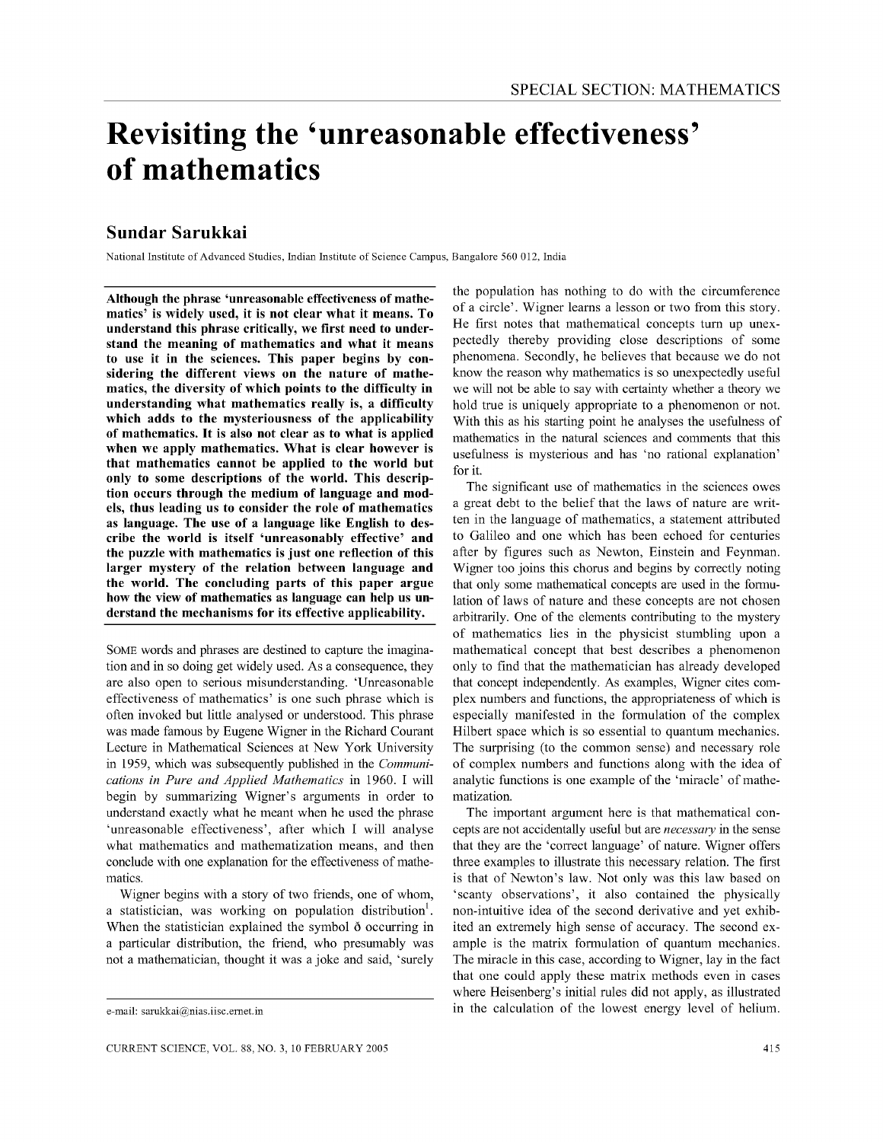# **Revisiting the 'unreasonable effectiveness' of mathematics**

## **Sundar Sarukkai**

National Institute of Advanced Studies, Indian Institute of Science Campus, Bangalore 560 012, India

Although the phrase 'unreasonable effectiveness of mathematics' is widely used, it is not clear what it means. To understand this phrase critically, we first need to understand the meaning of mathematics and what it means to use it in the sciences. This paper begins by considering the different views on the nature of mathematics, the diversity of which points to the difficulty in understanding what mathematics really is, a difficulty which adds to the mysteriousness of the applicability of mathematics. It is also not clear as to what is applied when we apply mathematics. What is clear however is that mathematics cannot be applied to the world but only to some descriptions of the world. This description occurs through the medium of language and models, thus leading us to consider the role of mathematics as language. The use of a language like English to describe the world is itself 'unreasonably effective' and the puzzle with mathematics is just one reflection of this larger mystery of the relation between language and the world. The concluding parts of this paper argue how the view of mathematics as language can help us understand the mechanisms for its effective applicability.

SOME words and phrases are destined to capture the imagination and in so doing get widely used, As a consequence, they are also open to serious misunderstanding, 'Unreasonable effectiveness of mathematics' is one such phrase which is often invoked but little analysed or understood, This phrase was made famous by Eugene Wigner in the Richard Courant Lecture in Mathematical Sciences at New York University in 1959, which was subsequently published in the *Communications in Pure and Applied Mathematics* in 1960, I will begin by summarizing Wigner's arguments in order to understand exactly what he meant when he used the phrase 'unreasonable effectiveness', after which I will analyse what mathematics and mathematization means, and then conclude with one explanation for the effectiveness of mathematics,

Wigner begins with a story of two friends, one of whom, a statistician, was working on population distribution<sup>1</sup>. When the statistician explained the symbol  $\delta$  occurring in a particular distribution, the friend, who presumably was not a mathematician, thought it was a joke and said, 'surely

the population has nothing to do with the circumference of a circle'. Wigner learns a lesson or two from this story. He first notes that mathematical concepts tum up unexpectedly thereby providing close descriptions of some phenomena. Secondly, he believes that because we do not know the reason why mathematics is so unexpectedly useful we will not be able to say with certainty whether a theory we hold true is uniquely appropriate to a phenomenon or not. With this as his starting point he analyses the usefulness of mathematics in the natural sciences and comments that this usefulness is mysterious and has 'no rational explanation' for it.

The significant use of mathematics in the sciences owes a great debt to the belief that the laws of nature are written in the language of mathematics, a statement attributed to Galileo and one which has been echoed for centuries after by figures such as Newton, Einstein and Feynman. Wigner too joins this chorus and begins by correctly noting that only some mathematical concepts are used in the formulation of laws of nature and these concepts are not chosen arbitrarily. One of the elements contributing to the mystery of mathematics lies in the physicist stumbling upon a mathematical concept that best describes a phenomenon only to find that the mathematician has already developed that concept independently. As examples, Wigner cites complex numbers and functions, the appropriateness of which is especially manifested in the formulation of the complex Hilbert space which is so essential to quantum mechanics. The surprising (to the common sense) and necessary role of complex numbers and functions along with the idea of analytic functions is one example of the 'miracle' of mathematization.

The important argument here is that mathematical concepts are not accidentally useful but are *necessary* in the sense that they are the 'correct language' of nature. Wigner offers three examples to illustrate this necessary relation. The first is that of Newton's law. Not only was this law based on 'scanty observations', it also contained the physically non-intuitive idea of the second derivative and yet exhibited an extremely high sense of accuracy. The second example is the matrix formulation of quantum mechanics. The miracle in this case, according to Wigner, lay in the fact that one could apply these matrix methods even in cases where Heisenberg's initial rules did not apply, as illustrated in the calculation of the lowest energy level of helium.

e-mail: sarukkai@nias.iisc.ernet.in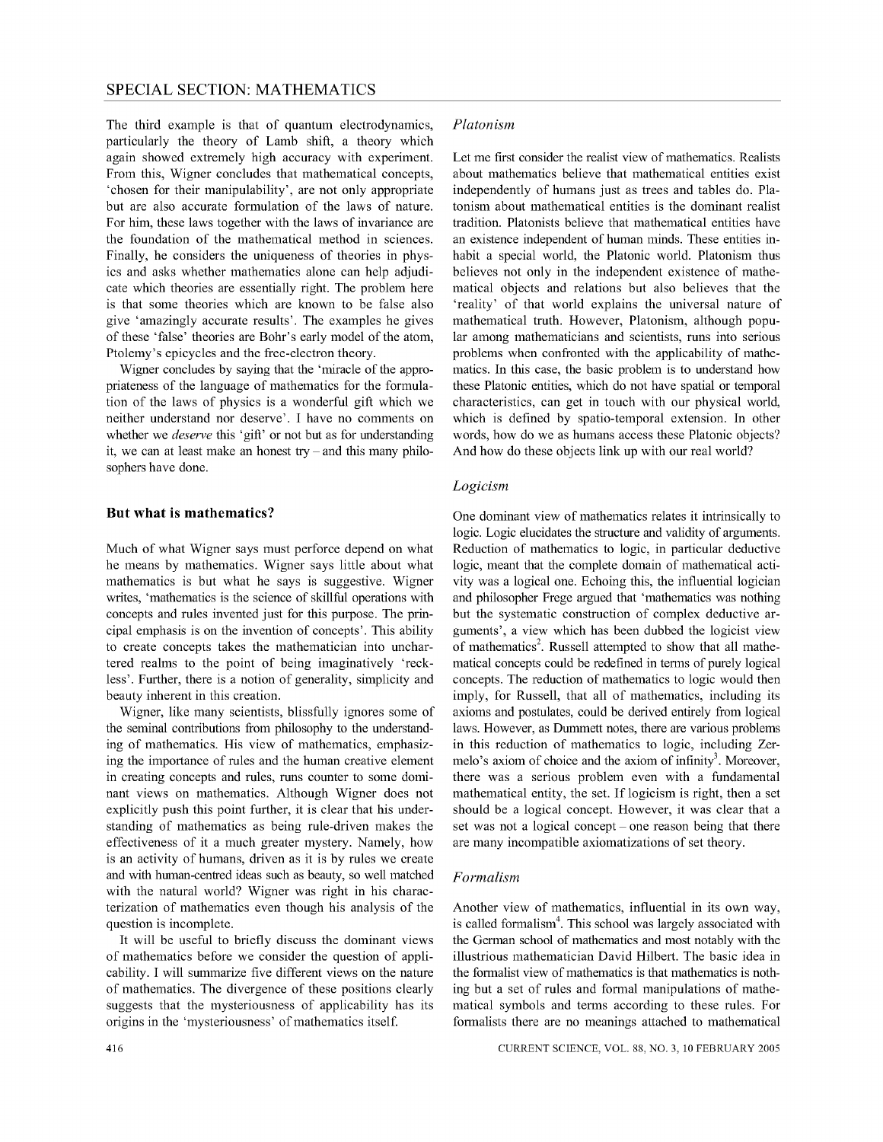The third example is that of quantum electrodynamics, particularly the theory of Lamb shift, a theory which again showed extremely high accuracy with experiment. From this, Wigner concludes that mathematical concepts, 'chosen for their manipulability', are not only appropriate but are also accurate formulation of the laws of nature. For him, these laws together with the laws of invariance are the foundation of the mathematical method in sciences. Finally, he considers the uniqueness of theories in physics and asks whether mathematics alone can help adjudicate which theories are essentially right. The problem here is that some theories which are known to be false also give 'amazingly accurate results'. The examples he gives of these 'false' theories are Bohr's early model of the atom, Ptolemy's epicycles and the free-electron theory.

Wigner concludes by saying that the 'miracle of the appropriateness of the language of mathematics for the formulation of the laws of physics is a wonderful gift which we neither understand nor deserve'. I have no comments on whether we *deserve* this 'gift' or not but as for understanding it, we can at least make an honest  $try - and this many philo$ sophers have done.

#### **But what is mathematics?**

Much of what Wigner says must perforce depend on what he means by mathematics. Wigner says little about what mathematics is but what he says is suggestive. Wigner writes, 'mathematics is the science of skillful operations with concepts and rules invented just for this purpose. The principal emphasis is on the invention of concepts'. This ability to create concepts takes the mathematician into unchartered realms to the point of being imaginatively 'reckless'. Further, there is a notion of generality, simplicity and beauty inherent in this creation.

Wigner, like many scientists, blissfully ignores some of the seminal contributions from philosophy to the understanding of mathematics. His view of mathematics, emphasizing the importance of rules and the human creative element in creating concepts and rules, runs counter to some dominant views on mathematics. Although Wigner does not explicitly push this point further, it is clear that his understanding of mathematics as being rule-driven makes the effectiveness of it a much greater mystery. Namely, how is an activity of humans, driven as it is by rules we create and with human-centred ideas such as beauty, so well matched with the natural world? Wigner was right in his characterization of mathematics even though his analysis of the question is incomplete.

It will be useful to briefly discuss the dominant views of mathematics before we consider the question of applicability. I will summarize five different views on the nature of mathematics. The divergence of these positions clearly suggests that the mysteriousness of applicability has its origins in the 'mysteriousness' of mathematics itself.

Let me first consider the realist view of mathematics. Realists about mathematics believe that mathematical entities exist independently of humans just as trees and tables do. Platonism about mathematical entities is the dominant realist tradition. Platonists believe that mathematical entities have an existence independent of human minds. These entities inhabit a special world, the Platonic world. Platonism thus believes not only in the independent existence of mathematical objects and relations but also believes that the 'reality' of that world explains the universal nature of mathematical truth. However, Platonism, although popular among mathematicians and scientists, runs into serious problems when confronted with the applicability of mathematics. In this case, the basic problem is to understand how these Platonic entities, which do not have spatial or temporal characteristics, can get in touch with our physical world, which is defined by spatio-temporal extension. In other words, how do we as humans access these Platonic objects? And how do these objects link up with our real world?

#### *Logicism*

One dominant view of mathematics relates it intrinsically to logic. Logic elucidates the structure and validity of arguments. Reduction of mathematics to logic, in particular deductive logic, meant that the complete domain of mathematical activity was a logical one. Echoing this, the influential logician and philosopher Frege argued that 'mathematics was nothing but the systematic construction of complex deductive arguments', a view which has been dubbed the logicist view of mathematics<sup>2</sup>. Russell attempted to show that all mathematical concepts could be redefined in terms of purely logical concepts. The reduction of mathematics to logic would then imply, for Russell, that all of mathematics, including its axioms and postulates, could be derived entirely from logical laws. However, as Dummett notes, there are various problems in this reduction of mathematics to logic, including Zermelo's axiom of choice and the axiom of infinity<sup>3</sup>. Moreover, there was a serious problem even with a fundamental mathematical entity, the set. If logicism is right, then a set should be a logical concept. However, it was clear that a set was not a logical concept - one reason being that there are many incompatible axiomatizations of set theory.

#### *Formalism*

Another view of mathematics, influential in its own way, is called formalism<sup>4</sup>. This school was largely associated with the German school of mathematics and most notably with the illustrious mathematician David Hilbert. The basic idea in the formalist view of mathematics is that mathematics is nothing but a set of rules and formal manipulations of mathematical symbols and terms according to these rules. For formalists there are no meanings attached to mathematical

CURRENT SCIENCE, VOL. 88, NO.3, 10 FEBRUARY 2005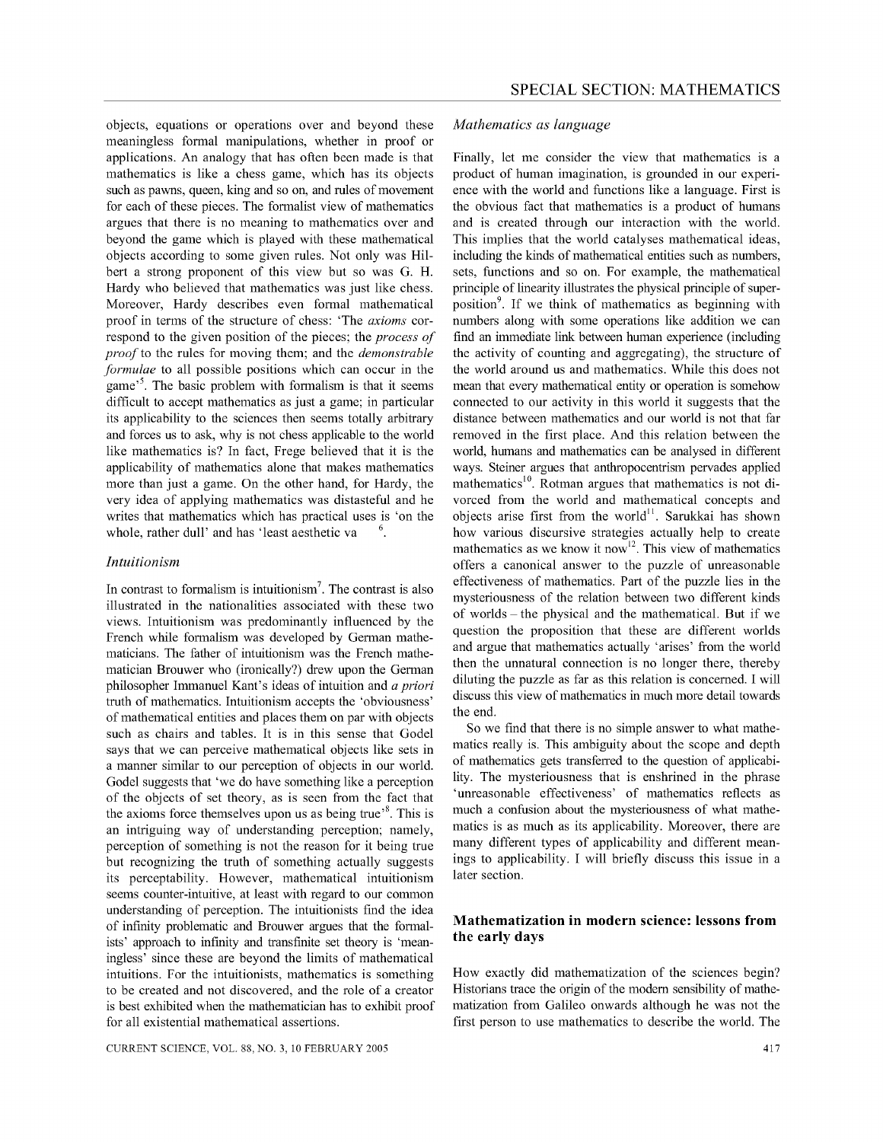objects, equations or operations over and beyond these meaningless formal manipulations, whether in proof or applications. An analogy that has often been made is that mathematics is like a chess game, which has its objects such as pawns, queen, king and so on, and rules of movement for each of these pieces. The formalist view of mathematics argues that there is no meaning to mathematics over and beyond the game which is played with these mathematical objects according to some given rules. Not only was Hilbert a strong proponent of this view but so was G. H. Hardy who believed that mathematics was just like chess. Moreover, Hardy describes even formal mathematical proof in terms of the structure of chess: 'The *axioms* correspond to the given position of the pieces; the *process of proof* to the rules for moving them; and the *demonstrable formulae* to all possible positions which can occur in the game<sup>5</sup>. The basic problem with formalism is that it seems difficult to accept mathematics as just a game; in particular its applicability to the sciences then seems totally arbitrary and forces us to ask, why is not chess applicable to the world like mathematics is? In fact, Frege believed that it is the applicability of mathematics alone that makes mathematics more than just a game. On the other hand, for Hardy, the very idea of applying mathematics was distasteful and he writes that mathematics which has practical uses is 'on the whole, rather dull' and has 'least aesthetic va 6

#### *Intuitionism*

In contrast to formalism is intuitionism<sup>7</sup>. The contrast is also illustrated in the nationalities associated with these two views. Intuitionism was predominantly influenced by the French while formalism was developed by German mathematicians. The father of intuitionism was the French mathematician Brouwer who (ironically?) drew upon the German philosopher Immanuel Kant's ideas of intuition and *a priori*  truth of mathematics. Intuitionism accepts the 'obviousness' of mathematical entities and places them on par with objects such as chairs and tables. It is in this sense that Godel says that we can perceive mathematical objects like sets in a manner similar to our perception of objects in our world. Godel suggests that 'we do have something like a perception of the objects of set theory, as is seen from the fact that the axioms force themselves upon us as being true'<sup>8</sup>. This is an intriguing way of understanding perception; namely, perception of something is not the reason for it being true but recognizing the truth of something actually suggests its perceptability. However, mathematical intuitionism seems counter-intuitive, at least with regard to our common understanding of perception. The intuitionists find the idea of infinity problematic and Brouwer argues that the formalists' approach to infinity and transfinite set theory is 'meaningless' since these are beyond the limits of mathematical intuitions. For the intuitionists, mathematics is something to be created and not discovered, and the role of a creator is best exhibited when the mathematician has to exhibit proof for all existential mathematical assertions.

CURRENT SCIENCE, VOL. 88, NO.3, 10 FEBRUARY 2005

#### *Mathematics as language*

Finally, let me consider the view that mathematics is a product of human imagination, is grounded in our experience with the world and functions like a language. First is the obvious fact that mathematics is a product of humans and is created through our interaction with the world. This implies that the world catalyses mathematical ideas, including the kinds of mathematical entities such as numbers, sets, functions and so on. For example, the mathematical principle of linearity illustrates the physical principle of superposition<sup>9</sup>. If we think of mathematics as beginning with numbers along with some operations like addition we can find an immediate link between human experience (including the activity of counting and aggregating), the structure of the world around us and mathematics. While this does not mean that every mathematical entity or operation is somehow connected to our activity in this world it suggests that the distance between mathematics and our world is not that far removed in the first place. And this relation between the world, humans and mathematics can be analysed in different ways. Steiner argues that anthropocentrism pervades applied mathematics<sup>10</sup>. Rotman argues that mathematics is not divorced from the world and mathematical concepts and objects arise first from the world<sup>11</sup>. Sarukkai has shown how various discursive strategies actually help to create mathematics as we know it now<sup>12</sup>. This view of mathematics offers a canonical answer to the puzzle of unreasonable effectiveness of mathematics. Part of the puzzle lies in the mysteriousness of the relation between two different kinds of worlds - the physical and the mathematical. But if we question the proposition that these are different worlds and argue that mathematics actually 'arises' from the world then the unnatural connection is no longer there, thereby diluting the puzzle as far as this relation is concerned. I will discuss this view of mathematics in much more detail towards the end.

So we find that there is no simple answer to what mathematics really is. This ambiguity about the scope and depth of mathematics gets transferred to the question of applicability. The mysteriousness that is enshrined in the phrase 'unreasonable effectiveness' of mathematics reflects as much a confusion about the mysteriousness of what mathematics is as much as its applicability. Moreover, there are many different types of applicability and different meanings to applicability. I will briefly discuss this issue in a later section.

### **Mathematization in modern science: lessons from the early days**

How exactly did mathematization of the sciences begin? Historians trace the origin of the modem sensibility of mathematization from Galileo onwards although he was not the first person to use mathematics to describe the world. The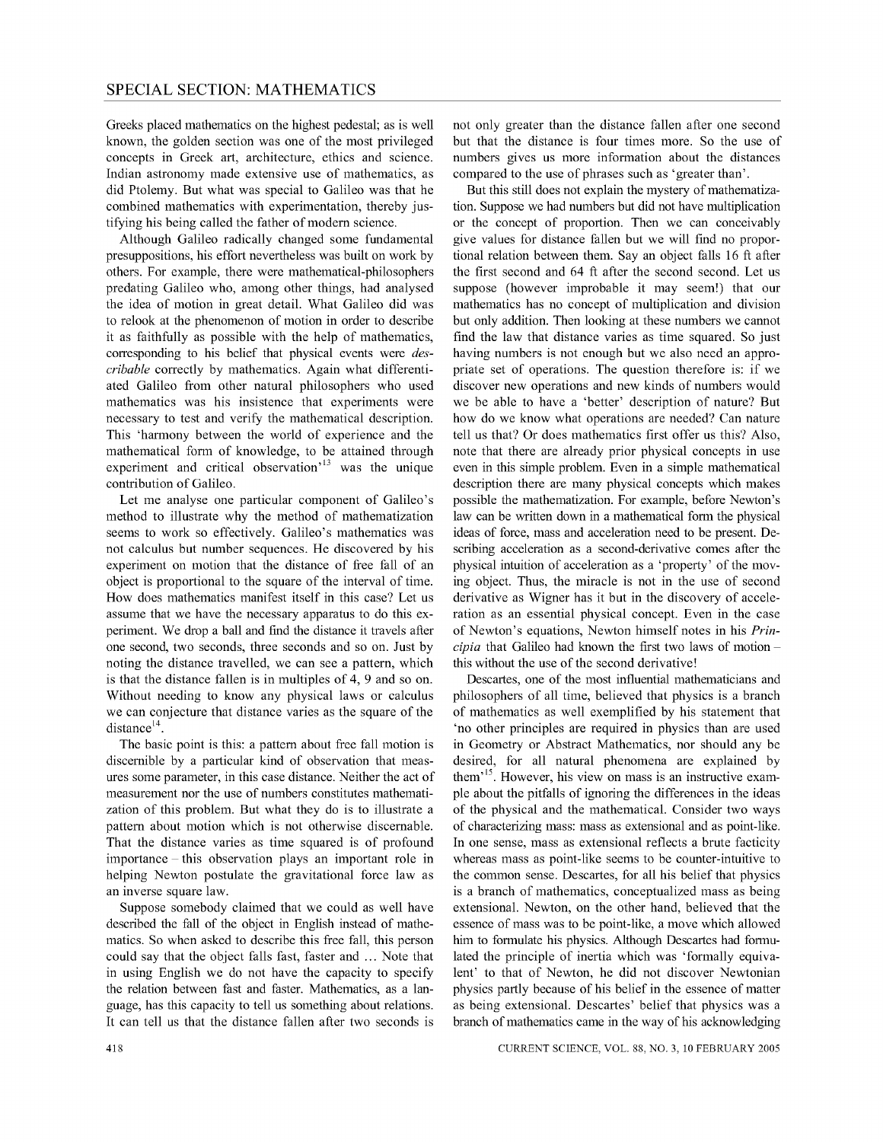Greeks placed mathematics on the highest pedestal; as is well known, the golden section was one of the most privileged concepts in Greek art, architecture, ethics and science. Indian astronomy made extensive use of mathematics, as did Ptolemy. But what was special to Galileo was that he combined mathematics with experimentation, thereby justifying his being called the father of modem science.

Although Galileo radically changed some fundamental presuppositions, his effort nevertheless was built on work by others. For example, there were mathematical-philosophers predating Galileo who, among other things, had analysed the idea of motion in great detail. What Galileo did was to relook at the phenomenon of motion in order to describe it as faithfully as possible with the help of mathematics, corresponding to his belief that physical events were *describable* correctly by mathematics. Again what differentiated Galileo from other natural philosophers who used mathematics was his insistence that experiments were necessary to test and verify the mathematical description. This 'harmony between the world of experience and the mathematical form of knowledge, to be attained through experiment and critical observation'<sup>13</sup> was the unique contribution of Galileo.

Let me analyse one particular component of Galileo's method to illustrate why the method of mathematization seems to work so effectively. Galileo's mathematics was not calculus but number sequences. He discovered by his experiment on motion that the distance of free fall of an object is proportional to the square of the interval of time. How does mathematics manifest itself in this case? Let us assume that we have the necessary apparatus to do this experiment. We drop a ball and find the distance it travels after one second, two seconds, three seconds and so on. Just by noting the distance travelled, we can see a pattern, which is that the distance fallen is in multiples of 4, 9 and so on. Without needing to know any physical laws or calculus we can conjecture that distance varies as the square of the  $distance^{14}$ .

The basic point is this: a pattern about free fall motion is discernible by a particular kind of observation that measures some parameter, in this case distance. Neither the act of measurement nor the use of numbers constitutes mathematization of this problem. But what they do is to illustrate a pattern about motion which is not otherwise discernable. That the distance varies as time squared is of profound importance - this observation plays an important role in helping Newton postulate the gravitational force law as an inverse square law.

Suppose somebody claimed that we could as well have described the fall of the object in English instead of mathematics. So when asked to describe this free fall, this person could say that the object falls fast, faster and ... Note that in using English we do not have the capacity to specify the relation between fast and faster. Mathematics, as a language, has this capacity to tell us something about relations. It can tell us that the distance fallen after two seconds is

not only greater than the distance fallen after one second but that the distance is four times more. So the use of numbers gives us more information about the distances compared to the use of phrases such as 'greater than' .

But this still does not explain the mystery of mathematization. Suppose we had numbers but did not have multiplication or the concept of proportion. Then we can conceivably give values for distance fallen but we will find no proportional relation between them. Sayan object falls 16 ft after the first second and 64 ft after the second second. Let us suppose (however improbable it may seem!) that our mathematics has no concept of multiplication and division but only addition. Then looking at these numbers we cannot find the law that distance varies as time squared. So just having numbers is not enough but we also need an appropriate set of operations. The question therefore is: if we discover new operations and new kinds of numbers would we be able to have a 'better' description of nature? But how do we know what operations are needed? Can nature tell us that? Or does mathematics first offer us this? Also, note that there are already prior physical concepts in use even in this simple problem. Even in a simple mathematical description there are many physical concepts which makes possible the mathematization. For example, before Newton's law can be written down in a mathematical form the physical ideas of force, mass and acceleration need to be present. Describing acceleration as a second-derivative comes after the physical intuition of acceleration as a 'property' of the moving object. Thus, the miracle is not in the use of second derivative as Wigner has it but in the discovery of acceleration as an essential physical concept. Even in the case of Newton's equations, Newton himself notes in his *Principia* that Galileo had known the first two laws of motion this without the use of the second derivative!

Descartes, one of the most influential mathematicians and philosophers of all time, believed that physics is a branch of mathematics as well exemplified by his statement that 'no other principles are required in physics than are used in Geometry or Abstract Mathematics, nor should any be desired, for all natural phenomena are explained by them<sup>15</sup>. However, his view on mass is an instructive example about the pitfalls of ignoring the differences in the ideas of the physical and the mathematical. Consider two ways of characterizing mass: mass as extensional and as point-like. In one sense, mass as extensional reflects a brute facticity whereas mass as point-like seems to be counter-intuitive to the common sense. Descartes, for all his belief that physics is a branch of mathematics, conceptualized mass as being extensional. Newton, on the other hand, believed that the essence of mass was to be point-like, a move which allowed him to formulate his physics. Although Descartes had formulated the principle of inertia which was 'formally equivalent' to that of Newton, he did not discover Newtonian physics partly because of his belief in the essence of matter as being extensional. Descartes' belief that physics was a branch of mathematics came in the way of his acknowledging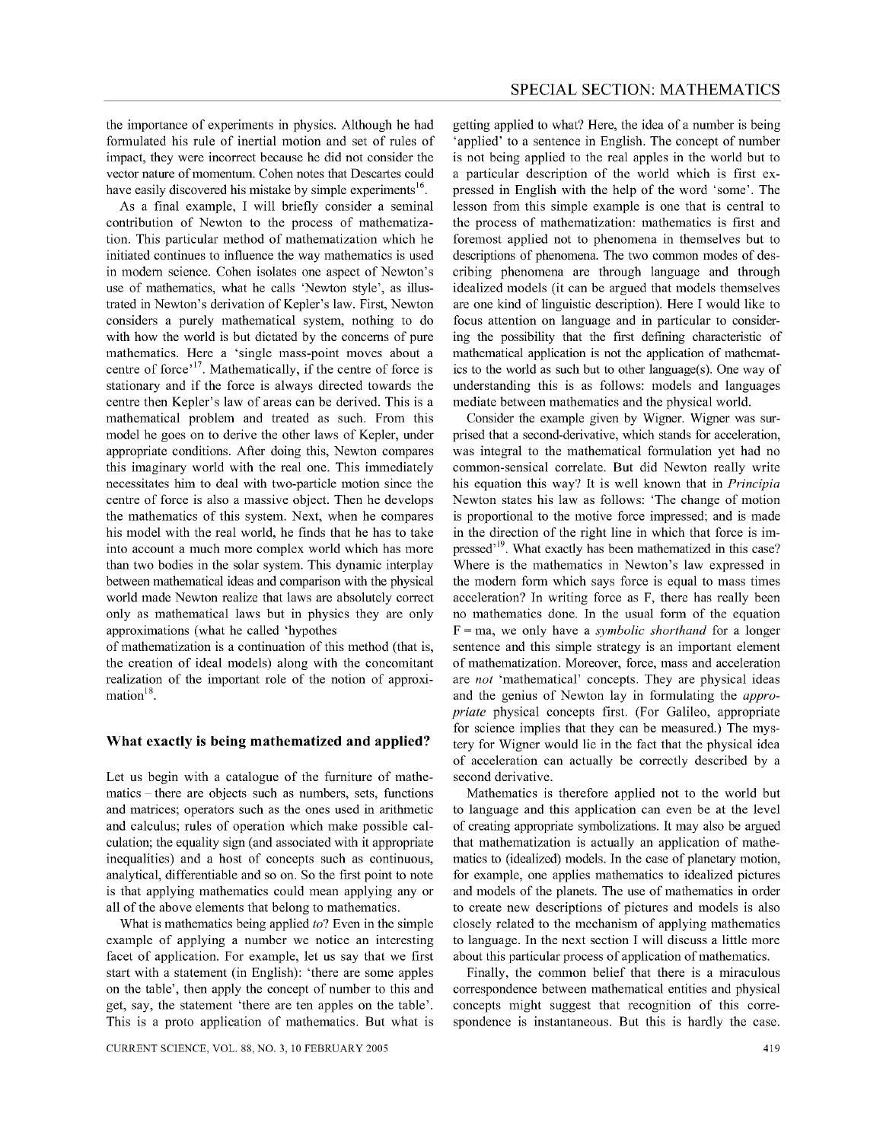the importance of experiments in physics. Although he had formulated his rule of inertial motion and set of rules of impact, they were incorrect because he did not consider the vector nature of momentum. Cohen notes that Descartes could have easily discovered his mistake by simple experiments<sup>16</sup>.

As a final example, I will briefly consider a seminal contribution of Newton to the process of mathematization. This particular method of mathematization which he initiated continues to influence the way mathematics is used in modem science. Cohen isolates one aspect of Newton's use of mathematics, what he calls 'Newton style', as illustrated in Newton's derivation of Kepler's law. First, Newton considers a purely mathematical system, nothing to do with how the world is but dictated by the concerns of pure mathematics. Here a 'single mass-point moves about a centre of force<sup>,17</sup>. Mathematically, if the centre of force is stationary and if the force is always directed towards the centre then Kepler's law of areas can be derived. This is a mathematical problem and treated as such. From this model he goes on to derive the other laws of Kepler, under appropriate conditions. After doing this, Newton compares this imaginary world with the real one. This immediately necessitates him to deal with two-particle motion since the centre of force is also a massive object. Then he develops the mathematics of this system. Next, when he compares his model with the real world, he finds that he has to take into account a much more complex world which has more than two bodies in the solar system. This dynamic interplay between mathematical ideas and comparison with the physical world made Newton realize that laws are absolutely correct only as mathematical laws but in physics they are only approximations (what he called 'hypothes

of mathematization is a continuation of this method (that is, the creation of ideal models) along with the concomitant realization of the important role of the notion of approximation $18$ .

#### **What exactly is being mathematized and applied?**

Let us begin with a catalogue of the furniture of mathematics – there are objects such as numbers, sets, functions and matrices; operators such as the ones used in arithmetic and calculus; rules of operation which make possible calculation; the equality sign (and associated with it appropriate inequalities) and a host of concepts such as continuous, analytical, differentiable and so on. So the first point to note is that applying mathematics could mean applying any or all of the above elements that belong to mathematics.

What is mathematics being applied *to?* Even in the simple example of applying a number we notice an interesting facet of application. For example, let us say that we first start with a statement (in English): 'there are some apples on the table', then apply the concept of number to this and get, say, the statement 'there are ten apples on the table'. This is a proto application of mathematics. But what is

getting applied to what? Here, the idea of a number is being 'applied' to a sentence in English. The concept of number is not being applied to the real apples in the world but to a particular description of the world which is first expressed in English with the help of the word 'some'. The lesson from this simple example is one that is central to the process of mathematization: mathematics is first and foremost applied not to phenomena in themselves but to descriptions of phenomena. The two common modes of describing phenomena are through language and through idealized models (it can be argued that models themselves are one kind of linguistic description). Here I would like to focus attention on language and in particular to considering the possibility that the first defining characteristic of mathematical application is not the application of mathematics to the world as such but to other language(s). One way of understanding this is as follows: models and languages mediate between mathematics and the physical world.

Consider the example given by Wigner. Wigner was surprised that a second-derivative, which stands for acceleration, was integral to the mathematical formulation yet had no common-sensical correlate. But did Newton really write his equation this way? It is well known that in *Principia*  Newton states his law as follows: 'The change of motion is proportional to the motive force impressed; and is made in the direction of the right line in which that force is impressed<sup>, 19</sup>. What exactly has been mathematized in this case? Where is the mathematics in Newton's law expressed in the modem form which says force is equal to mass times acceleration? In writing force as F, there has really been no mathematics done. In the usual form of the equation F = rna, we only have a *symbolic shorthand* for a longer sentence and this simple strategy is an important element of mathematization. Moreover, force, mass and acceleration are *not* 'mathematical' concepts. They are physical ideas and the genius of Newton lay in formulating the *appropriate* physical concepts first. (For Galileo, appropriate for science implies that they can be measured.) The mystery for Wigner would lie in the fact that the physical idea of acceleration can actually be correctly described by a second derivative.

Mathematics is therefore applied not to the world but to language and this application can even be at the level of creating appropriate symbolizations. It may also be argued that mathematization is actually an application of mathematics to (idealized) models. In the case of planetary motion, for example, one applies mathematics to idealized pictures and models of the planets. The use of mathematics in order to create new descriptions of pictures and models is also closely related to the mechanism of applying mathematics to language. In the next section I will discuss a little more about this particular process of application of mathematics.

Finally, the common belief that there is a miraculous correspondence between mathematical entities and physical concepts might suggest that recognition of this correspondence is instantaneous. But this is hardly the case.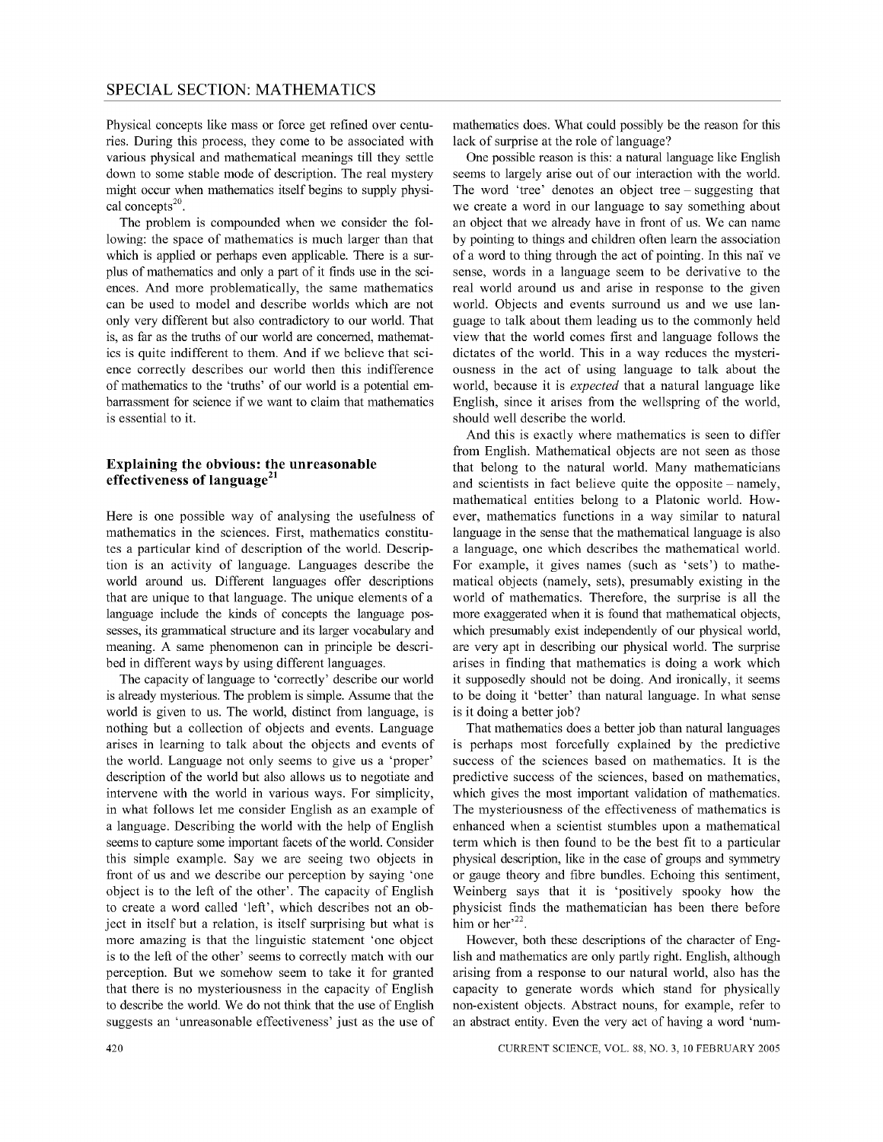Physical concepts like mass or force get refined over centuries. During this process, they come to be associated with various physical and mathematical meanings till they settle down to some stable mode of description. The real mystery might occur when mathematics itself begins to supply physical concepts<sup>20</sup>.

The problem is compounded when we consider the following: the space of mathematics is much larger than that which is applied or perhaps even applicable. There is a surplus of mathematics and only a part of it finds use in the sciences. And more problematically, the same mathematics can be used to model and describe worlds which are not only very different but also contradictory to our world. That is, as far as the truths of our world are concemed, mathematics is quite indifferent to them. And if we believe that science correctly describes our world then this indifference of mathematics to the 'truths' of our world is a potential embarrassment for science if we want to claim that mathematics is essential to it.

#### **Explaining the obvious: the unreasonable effectiveness of language<sup>21</sup>**

Here is one possible way of analysing the usefulness of mathematics in the sciences. First, mathematics constitutes a particular kind of description of the world. Description is an activity of language. Languages describe the world around us. Different languages offer descriptions that are unique to that language. The unique elements of a language include the kinds of concepts the language possesses, its grammatical structure and its larger vocabulary and meaning. A same phenomenon can in principle be described in different ways by using different languages.

The capacity of language to 'correctly' describe our world is already mysterious. The problem is simple. Assume that the world is given to us. The world, distinct from language, is nothing but a collection of objects and events. Language arises in learning to talk about the objects and events of the world. Language not only seems to give us a 'proper' description of the world but also allows us to negotiate and intervene with the world in various ways. For simplicity, in what follows let me consider English as an example of a language. Describing the world with the help of English seems to capture some important facets of the world. Consider this simple example. Say we are seeing two objects in front of us and we describe our perception by saying 'one object is to the left of the other'. The capacity of English to create a word called 'left', which describes not an object in itself but a relation, is itself surprising but what is more amazing is that the linguistic statement 'one object is to the left of the other' seems to correctly match with our perception. But we somehow seem to take it for granted that there is no mysteriousness in the capacity of English to describe the world. We do not think that the use of English suggests an 'unreasonable effectiveness' just as the use of

mathematics does. What could possibly be the reason for this lack of surprise at the role of language?

One possible reason is this: a natural language like English seems to largely arise out of our interaction with the world. The word 'tree' denotes an object tree – suggesting that we create a word in our language to say something about an object that we already have in front of us. We can name by pointing to things and children often learn the association of a word to thing through the act of pointing. In this nai: ve sense, words in a language seem to be derivative to the real world around us and arise in response to the given world. Objects and events surround us and we use language to talk about them leading us to the commonly held view that the world comes first and language follows the dictates of the world. This in a way reduces the mysteriousness in the act of using language to talk about the world, because it is *expected* that a natural language like English, since it arises from the wellspring of the world, should well describe the world.

And this is exactly where mathematics is seen to differ from English. Mathematical objects are not seen as those that belong to the natural world. Many mathematicians and scientists in fact believe quite the opposite  $-$  namely, mathematical entities belong to a Platonic world. However, mathematics functions in a way similar to natural language in the sense that the mathematical language is also a language, one which describes the mathematical world. For example, it gives names (such as 'sets') to mathematical objects (namely, sets), presumably existing in the world of mathematics. Therefore, the surprise is all the more exaggerated when it is found that mathematical objects, which presumably exist independently of our physical world, are very apt in describing our physical world. The surprise arises in finding that mathematics is doing a work which it supposedly should not be doing. And ironically, it seems to be doing it 'better' than natural language. In what sense is it doing a better job?

That mathematics does a better job than natural languages is perhaps most forcefully explained by the predictive success of the sciences based on mathematics. It is the predictive success of the sciences, based on mathematics, which gives the most important validation of mathematics. The mysteriousness of the effectiveness of mathematics is enhanced when a scientist stumbles upon a mathematical term which is then found to be the best fit to a particular physical description, like in the case of groups and symmetry or gauge theory and fibre bundles. Echoing this sentiment, Weinberg says that it is 'positively spooky how the physicist finds the mathematician has been there before him or her $^{22}$ .

However, both these descriptions of the character of English and mathematics are only partly right. English, although arising from a response to our natural world, also has the capacity to generate words which stand for physically non-existent objects. Abstract nouns, for example, refer to an abstract entity. Even the very act of having a word 'num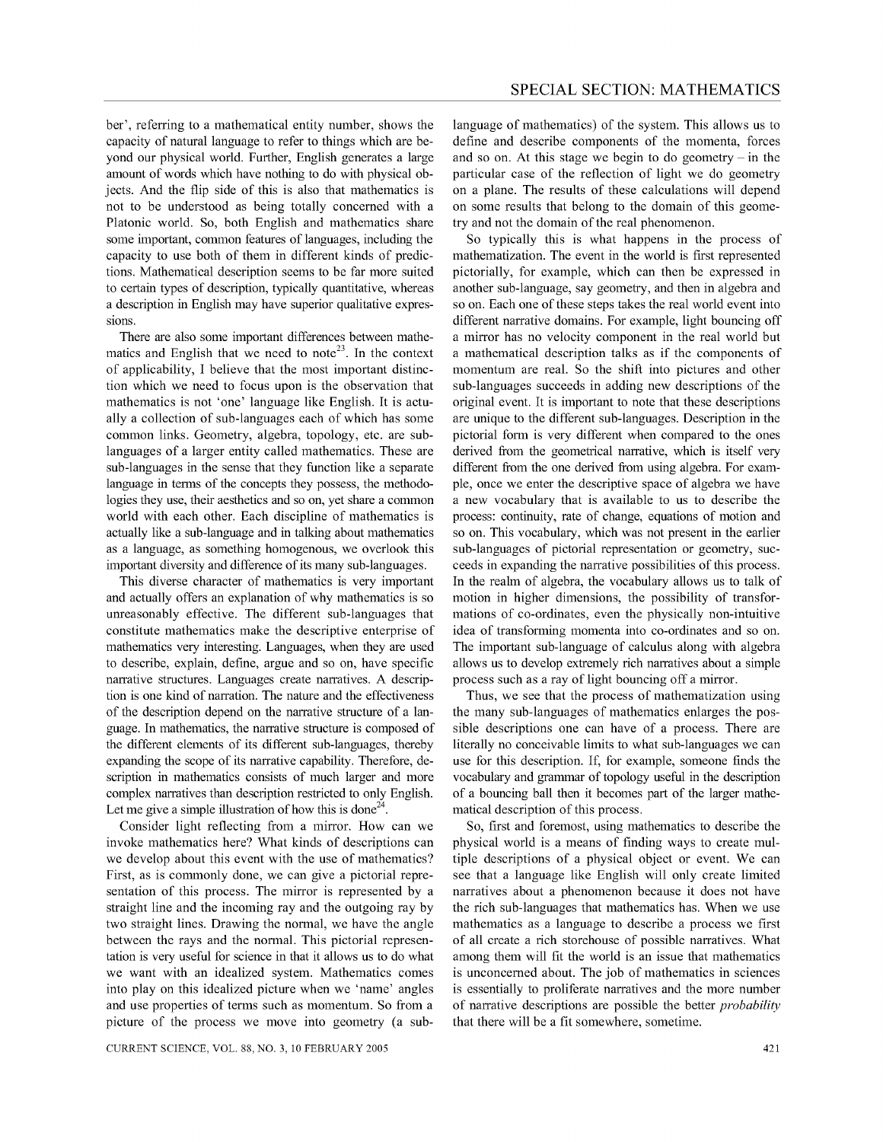ber', referring to a mathematical entity number, shows the capacity of natural language to refer to things which are beyond our physical world. Further, English generates a large amount of words which have nothing to do with physical objects. And the flip side of this is also that mathematics is not to be understood as being totally concerned with a Platonic world. So, both English and mathematics share some important, common features of languages, including the capacity to use both of them in different kinds of predictions. Mathematical description seems to be far more suited to certain types of description, typically quantitative, whereas a description in English may have superior qualitative expressions.

There are also some important differences between mathematics and English that we need to note<sup>23</sup>. In the context of applicability, I believe that the most important distinction which we need to focus upon is the observation that mathematics is not 'one' language like English. It is actually a collection of sub-languages each of which has some common links. Geometry, algebra, topology, etc. are sublanguages of a larger entity called mathematics. These are sub-languages in the sense that they function like a separate language in terms of the concepts they possess, the methodologies they use, their aesthetics and so on, yet share a common world with each other. Each discipline of mathematics is actually like a sub-language and in talking about mathematics as a language, as something homogenous, we overlook this important diversity and difference of its many sub-languages.

This diverse character of mathematics is very important and actually offers an explanation of why mathematics is so unreasonably effective. The different sub-languages that constitute mathematics make the descriptive enterprise of mathematics very interesting. Languages, when they are used to describe, explain, define, argue and so on, have specific narrative structures. Languages create narratives. A description is one kind of narration. The nature and the effectiveness of the description depend on the narrative structure of a language. In mathematics, the narrative structure is composed of the different elements of its different sub-languages, thereby expanding the scope of its narrative capability. Therefore, description in mathematics consists of much larger and more complex narratives than description restricted to only English. Let me give a simple illustration of how this is done<sup>24</sup>.

Consider light reflecting from a mirror. How can we invoke mathematics here? What kinds of descriptions can we develop about this event with the use of mathematics? First, as is commonly done, we can give a pictorial representation of this process. The mirror is represented by a straight line and the incoming ray and the outgoing ray by two straight lines. Drawing the normal, we have the angle between the rays and the normal. This pictorial representation is very useful for science in that it allows us to do what we want with an idealized system. Mathematics comes into play on this idealized picture when we 'name' angles and use properties of terms such as momentum. So from a picture of the process we move into geometry (a sublanguage of mathematics) of the system. This allows us to define and describe components of the momenta, forces and so on. At this stage we begin to do geometry  $-$  in the particular case of the reflection of light we do geometry on a plane. The results of these calculations will depend on some results that belong to the domain of this geometry and not the domain of the real phenomenon.

So typically this is what happens in the process of mathematization. The event in the world is first represented pictorially, for example, which can then be expressed in another sub-language, say geometry, and then in algebra and so on. Each one of these steps takes the real world event into different narrative domains. For example, light bouncing off a mirror has no velocity component in the real world but a mathematical description talks as if the components of momentum are real. So the shift into pictures and other sub-languages succeeds in adding new descriptions of the original event. It is important to note that these descriptions are unique to the different sub-languages. Description in the pictorial form is very different when compared to the ones derived from the geometrical narrative, which is itself very different from the one derived from using algebra. For example, once we enter the descriptive space of algebra we have a new vocabulary that is available to us to describe the process: continuity, rate of change, equations of motion and so on. This vocabulary, which was not present in the earlier sub-languages of pictorial representation or geometry, succeeds in expanding the narrative possibilities of this process. In the realm of algebra, the vocabulary allows us to talk of motion in higher dimensions, the possibility of transformations of co-ordinates, even the physically non-intuitive idea of transforming momenta into co-ordinates and so on. The important sub-language of calculus along with algebra allows us to develop extremely rich narratives about a simple process such as a ray of light bouncing off a mirror.

Thus, we see that the process of mathematization using the many sub-languages of mathematics enlarges the possible descriptions one can have of a process. There are literally no conceivable limits to what sub-languages we can use for this description. If, for example, someone finds the vocabulary and grammar of topology useful in the description of a bouncing ball then it becomes part of the larger mathematical description of this process.

So, first and foremost, using mathematics to describe the physical world is a means of finding ways to create multiple descriptions of a physical object or event. We can see that a language like English will only create limited narratives about a phenomenon because it does not have the rich sub-languages that mathematics has. When we use mathematics as a language to describe a process we first of all create a rich storehouse of possible narratives. What among them will fit the world is an issue that mathematics is unconcerned about. The job of mathematics in sciences is essentially to proliferate narratives and the more number of narrative descriptions are possible the better *probability*  that there will be a fit somewhere, sometime.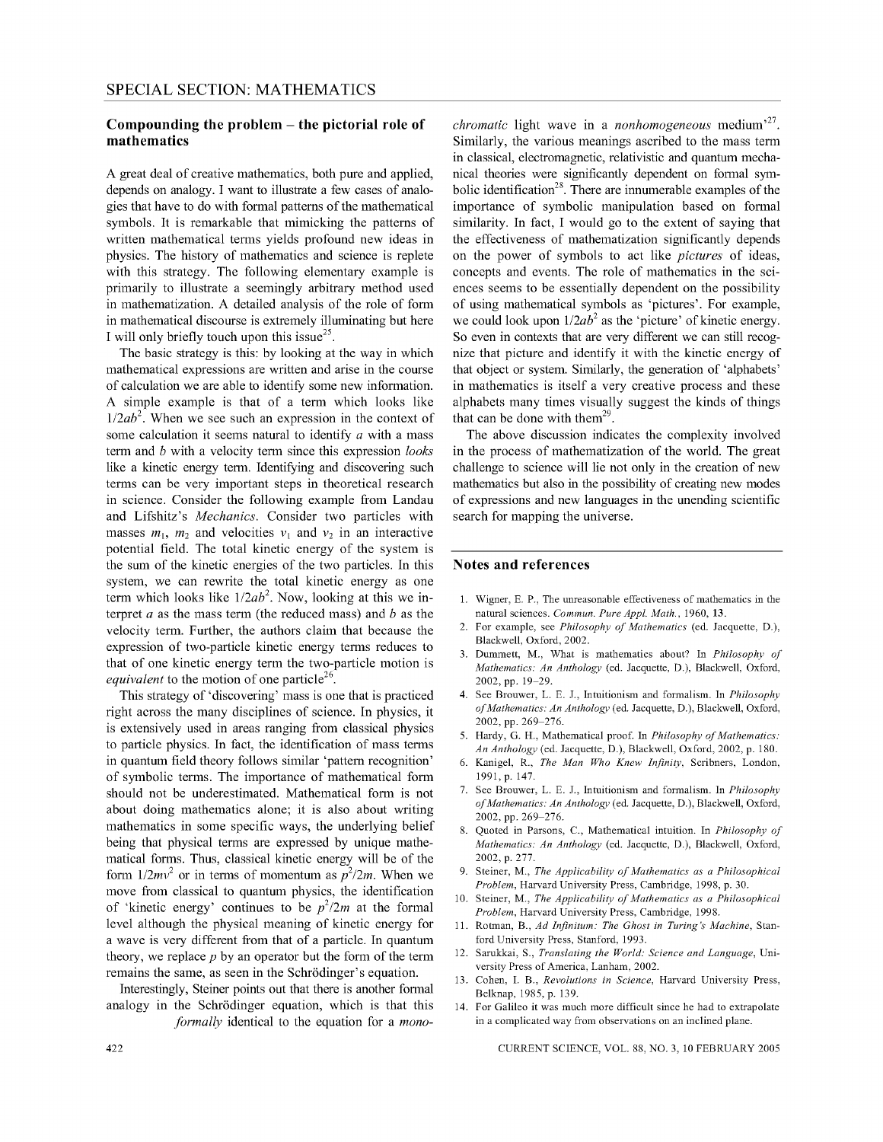### **Compounding the problem - the pictorial role of mathematics**

A great deal of creative mathematics, both pure and applied, depends on analogy. I want to illustrate a few cases of analogies that have to do with formal patterns of the mathematical symbols. It is remarkable that mimicking the patterns of written mathematical terms yields profound new ideas in physics. The history of mathematics and science is replete with this strategy. The following elementary example is primarily to illustrate a seemingly arbitrary method used in mathematization. A detailed analysis of the role of form in mathematical discourse is extremely illuminating but here I will only briefly touch upon this issue $^{25}$ .

The basic strategy is this: by looking at the way in which mathematical expressions are written and arise in the course of calculation we are able to identify some new information. A simple example is that of a term which looks like *l/2ab<sup>2</sup> .* When we see such an expression in the context of some calculation it seems natural to identify *a* with a mass term and *b* with a velocity term since this expression *looks*  like a kinetic energy term. Identifying and discovering such terms can be very important steps in theoretical research in science. Consider the following example from Landau and Lifshitz's *Mechanics.* Consider two particles with masses  $m_1$ ,  $m_2$  and velocities  $v_1$  and  $v_2$  in an interactive potential field. The total kinetic energy of the system is the sum of the kinetic energies of the two particles. In this system, we can rewrite the total kinetic energy as one term which looks like *l/2ab<sup>2</sup> .* Now, looking at this we interpret *a* as the mass term (the reduced mass) and *b* as the velocity term. Further, the authors claim that because the expression of two-particle kinetic energy terms reduces to that of one kinetic energy term the two-particle motion is *equivalent* to the motion of one particle<sup>26</sup>.

This strategy of 'discovering' mass is one that is practiced right across the many disciplines of science. In physics, it is extensively used in areas ranging from classical physics to particle physics. In fact, the identification of mass terms in quantum field theory follows similar 'pattern recognition' of symbolic terms. The importance of mathematical form should not be underestimated. Mathematical form is not about doing mathematics alone; it is also about writing mathematics in some specific ways, the underlying belief being that physical terms are expressed by unique mathematical forms. Thus, classical kinetic energy will be of the form  $1/2mv^2$  or in terms of momentum as  $p^2/2m$ . When we move from classical to quantum physics, the identification of 'kinetic energy' continues to be  $p^2/2m$  at the formal level although the physical meaning of kinetic energy for a wave is very different from that of a particle. In quantum theory, we replace *p* by an operator but the form of the term remains the same, as seen in the Schrödinger's equation.

Interestingly, Steiner points out that there is another formal analogy in the Schrodinger equation, which is that this *formally* identical to the equation for a *mono-*

*chromatic* light wave in a *nonhomogeneous* medium<sup>,27</sup>. Similarly, the various meanings ascribed to the mass term in classical, electromagnetic, relativistic and quantum mechanical theories were significantly dependent on formal symbolic identification<sup>28</sup>. There are innumerable examples of the importance of symbolic manipulation based on formal similarity. In fact, I would go to the extent of saying that the effectiveness of mathematization significantly depends on the power of symbols to act like *pictures* of ideas, concepts and events. The role of mathematics in the sciences seems to be essentially dependent on the possibility of using mathematical symbols as 'pictures'. For example, we could look upon  $1/2ab^2$  as the 'picture' of kinetic energy. So even in contexts that are very different we can still recognize that picture and identify it with the kinetic energy of that object or system. Similarly, the generation of 'alphabets' in mathematics is itself a very creative process and these alphabets many times visually suggest the kinds of things that can be done with them<sup>29</sup>.

The above discussion indicates the complexity involved in the process of mathematization of the world. The great challenge to science will lie not only in the creation of new mathematics but also in the possibility of creating new modes of expressions and new languages in the unending scientific search for mapping the universe.

#### **Notes and references**

- 1. Wigner, E. P., The unreasonable effectiveness of mathematics in the natural sciences. *Commun. Pure Appl. Math.,* 1960, 13.
- 2. For example, see *Philosophy of Mathematics* (ed. Jacquette, D.), Blackwell, Oxford, 2002.
- 3. Dummett, M., What is mathematics about? In *Philosophy of Mathematics: An Anthology* (ed. Jacquette, D.), Blackwell, Oxford, 2002, pp. 19-29.
- 4. See Brouwer, L. E. J., Intuitionism and formalism. In *Philosophy of Mathematics: An Anthology* (ed. Jacquette, D.), Blackwell, Oxford, 2002, pp. 269-276.
- 5. Hardy, G. H., Mathematical proof. In *Philosophy of Mathematics: An Anthology* (ed. Jacquette, D.), Blackwell, Oxford, 2002, p. 180.
- 6. Kanigel, R., *The Man Who Knew Infinity,* Scribners, London, 1991, p. 147.
- 7. See Brouwer, L. E. J., Intuitionism and formalism. In *Philosophy of Mathematics: An Anthology* (ed. Jacquette, D.), Blackwell, Oxford, 2002, pp. 269-276.
- 8. Quoted in Parsons, C., Mathematical intuition. In *Philosophy of Mathematics: An Anthology* (ed. Jacquette, D.), Blackwell, Oxford, 2002, p. 277.
- 9. Steiner, M., *The Applicability of Mathematics as a Philosophical Problem,* Harvard University Press, Cambridge, 1998, p. 30.
- 10. Steiner, M., *The Applicability of Mathematics as a Philosophical Problem,* Harvard University Press, Cambridge, 1998.
- I!. Rotman, B., *Ad Infinitum: The Ghost in Turing's Machine,* Stanford University Press, Stanford, 1993.
- 12. Sarukkai, S., *Translating the World: Science and Language,* University Press of America, Lanham, 2002.
- 13. Cohen, 1. B., *Revolutions in Science,* Harvard University Press, Belknap, 1985, p. 139.
- 14. For Galileo it was much more difficult since he had to extrapolate in a complicated way from observations on an inclined plane.

CURRENT SCIENCE, VOL. 88, NO.3, 10 FEBRUARY 2005